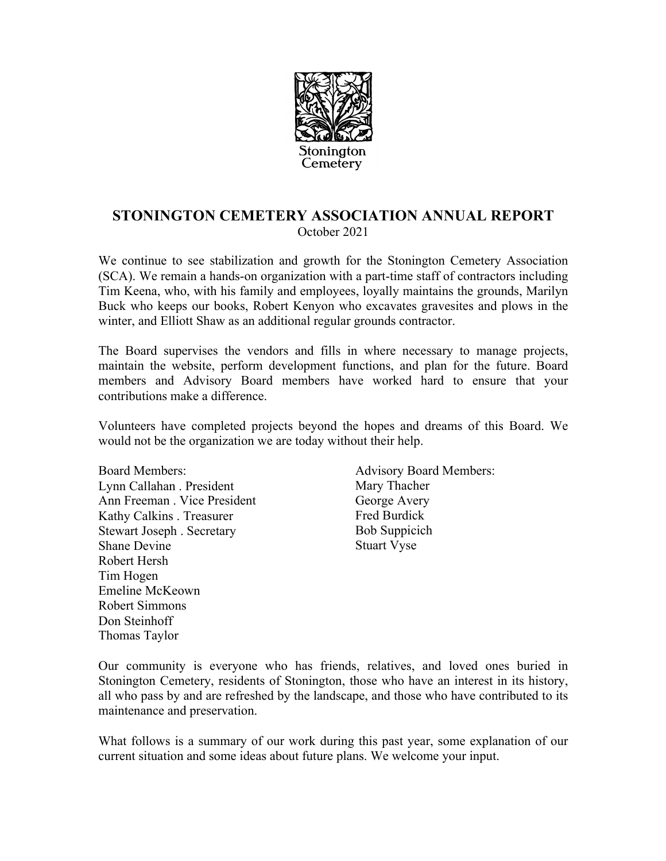

## **STONINGTON CEMETERY ASSOCIATION ANNUAL REPORT** October 2021

We continue to see stabilization and growth for the Stonington Cemetery Association (SCA). We remain a hands-on organization with a part-time staff of contractors including Tim Keena, who, with his family and employees, loyally maintains the grounds, Marilyn Buck who keeps our books, Robert Kenyon who excavates gravesites and plows in the winter, and Elliott Shaw as an additional regular grounds contractor.

The Board supervises the vendors and fills in where necessary to manage projects, maintain the website, perform development functions, and plan for the future. Board members and Advisory Board members have worked hard to ensure that your contributions make a difference.

Volunteers have completed projects beyond the hopes and dreams of this Board. We would not be the organization we are today without their help.

Board Members: Lynn Callahan . President Ann Freeman . Vice President Kathy Calkins . Treasurer Stewart Joseph . Secretary Shane Devine Robert Hersh Tim Hogen Emeline McKeown Robert Simmons Don Steinhoff Thomas Taylor

Advisory Board Members: Mary Thacher George Avery Fred Burdick Bob Suppicich Stuart Vyse

Our community is everyone who has friends, relatives, and loved ones buried in Stonington Cemetery, residents of Stonington, those who have an interest in its history, all who pass by and are refreshed by the landscape, and those who have contributed to its maintenance and preservation.

What follows is a summary of our work during this past year, some explanation of our current situation and some ideas about future plans. We welcome your input.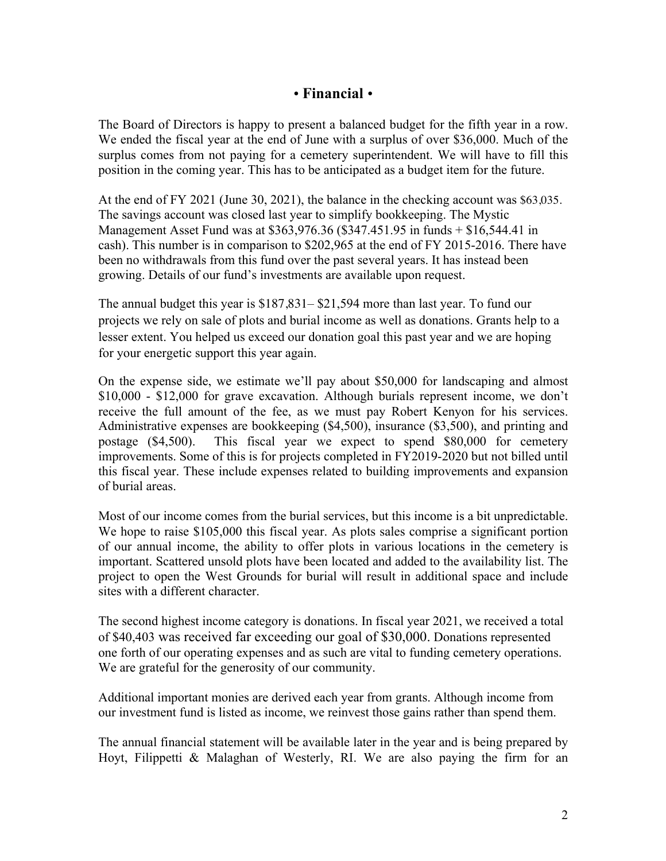## ! **Financial** !

The Board of Directors is happy to present a balanced budget for the fifth year in a row. We ended the fiscal year at the end of June with a surplus of over \$36,000. Much of the surplus comes from not paying for a cemetery superintendent. We will have to fill this position in the coming year. This has to be anticipated as a budget item for the future.

At the end of FY 2021 (June 30, 2021), the balance in the checking account was \$63,035. The savings account was closed last year to simplify bookkeeping. The Mystic Management Asset Fund was at \$363,976.36 (\$347.451.95 in funds + \$16,544.41 in cash). This number is in comparison to \$202,965 at the end of FY 2015-2016. There have been no withdrawals from this fund over the past several years. It has instead been growing. Details of our fund's investments are available upon request.

The annual budget this year is \$187,831– \$21,594 more than last year. To fund our projects we rely on sale of plots and burial income as well as donations. Grants help to a lesser extent. You helped us exceed our donation goal this past year and we are hoping for your energetic support this year again.

On the expense side, we estimate we'll pay about \$50,000 for landscaping and almost \$10,000 - \$12,000 for grave excavation. Although burials represent income, we don't receive the full amount of the fee, as we must pay Robert Kenyon for his services. Administrative expenses are bookkeeping (\$4,500), insurance (\$3,500), and printing and postage (\$4,500). This fiscal year we expect to spend \$80,000 for cemetery improvements. Some of this is for projects completed in FY2019-2020 but not billed until this fiscal year. These include expenses related to building improvements and expansion of burial areas.

Most of our income comes from the burial services, but this income is a bit unpredictable. We hope to raise \$105,000 this fiscal year. As plots sales comprise a significant portion of our annual income, the ability to offer plots in various locations in the cemetery is important. Scattered unsold plots have been located and added to the availability list. The project to open the West Grounds for burial will result in additional space and include sites with a different character.

The second highest income category is donations. In fiscal year 2021, we received a total of \$40,403 was received far exceeding our goal of \$30,000. Donations represented one forth of our operating expenses and as such are vital to funding cemetery operations. We are grateful for the generosity of our community.

Additional important monies are derived each year from grants. Although income from our investment fund is listed as income, we reinvest those gains rather than spend them.

The annual financial statement will be available later in the year and is being prepared by Hoyt, Filippetti & Malaghan of Westerly, RI. We are also paying the firm for an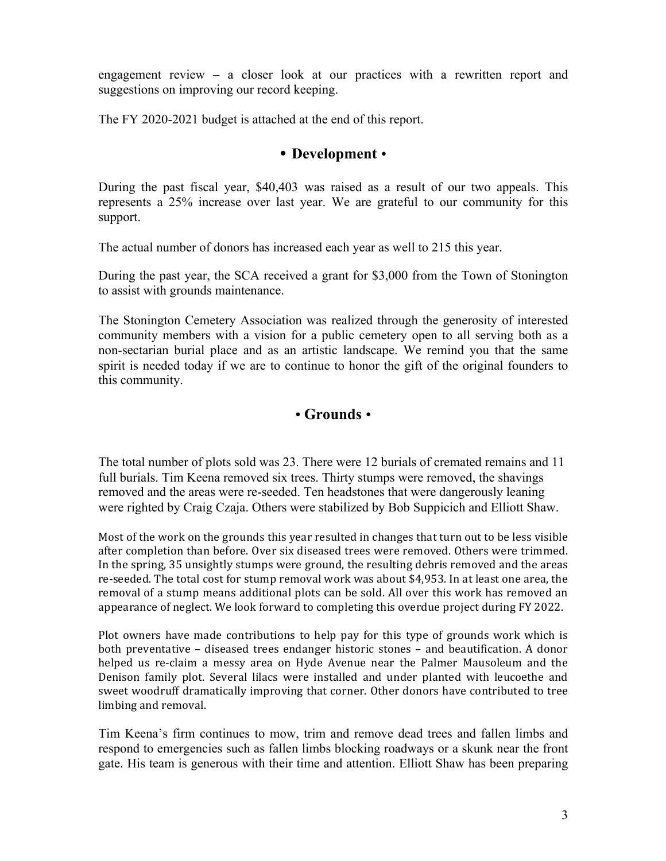engagement review – a closer look at our practices with a rewritten report and suggestions on improving our record keeping.

The FY 2020-2021 budget is attached at the end of this report.

#### **• Development •**

During the past fiscal year, \$40,403 was raised as a result of our two appeals. This represents a 25% increase over last year. We are grateful to our community for this support.

The actual number of donors has increased each year as well to 215 this year.

During the past year, the SCA received a grant for \$3,000 from the Town of Stonington to assist with grounds maintenance.

The Stonington Cemetery Association was realized through the generosity of interested community members with a vision for a public cemetery open to all serving both as a non-sectarian burial place and as an artistic landscape. We remind you that the same spirit is needed today if we are to continue to honor the gift of the original founders to this community.

## **• Grounds** •

The total number of plots sold was 23. There were 12 burials of cremated remains and 11 full burials. Tim Keena removed six trees. Thirty stumps were removed, the shavings removed and the areas were re-seeded. Ten headstones that were dangerously leaning were righted by Craig Czaja. Others were stabilized by Bob Suppicich and Elliott Shaw.

Most of the work on the grounds this year resulted in changes that turn out to be less visible after completion than before. Over six diseased trees were removed. Others were trimmed. In the spring, 35 unsightly stumps were ground, the resulting debris removed and the areas re-seeded. The total cost for stump removal work was about \$4,953. In at least one area, the removal of a stump means additional plots can be sold. All over this work has removed an appearance of neglect. We look forward to completing this overdue project during FY 2022.

Plot owners have made contributions to help pay for this type of grounds work which is both preventative – diseased trees endanger historic stones – and beautification. A donor helped us re-claim a messy area on Hyde Avenue near the Palmer Mausoleum and the Denison family plot. Several lilacs were installed and under planted with leucoethe and sweet woodruff dramatically improving that corner. Other donors have contributed to tree limbing and removal.

Tim Keena's firm continues to mow, trim and remove dead trees and fallen limbs and respond to emergencies such as fallen limbs blocking roadways or a skunk near the front gate. His team is generous with their time and attention. Elliott Shaw has been preparing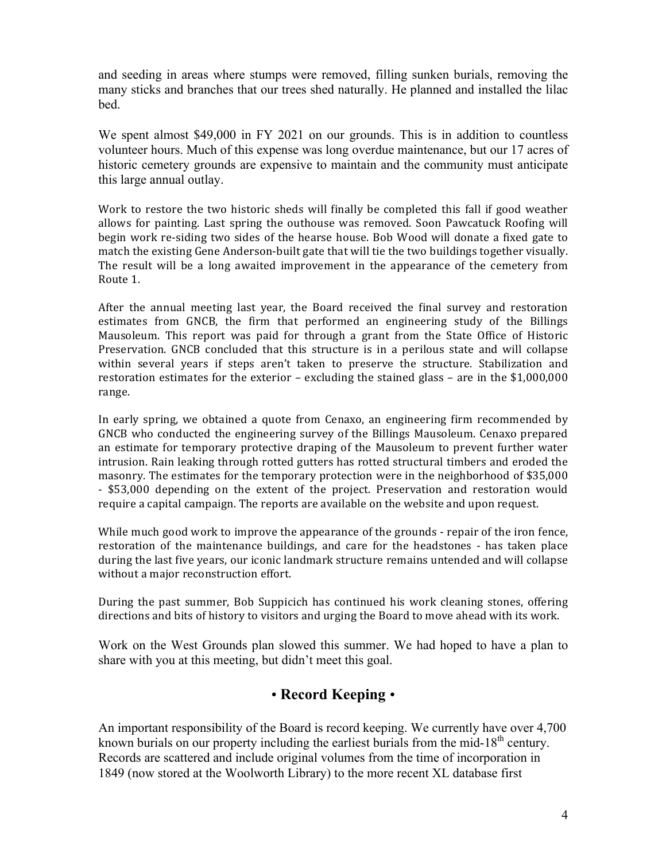and seeding in areas where stumps were removed, filling sunken burials, removing the many sticks and branches that our trees shed naturally. He planned and installed the lilac bed.

We spent almost \$49,000 in FY 2021 on our grounds. This is in addition to countless volunteer hours. Much of this expense was long overdue maintenance, but our 17 acres of historic cemetery grounds are expensive to maintain and the community must anticipate this large annual outlay.

Work to restore the two historic sheds will finally be completed this fall if good weather allows for painting. Last spring the outhouse was removed. Soon Pawcatuck Roofing will begin work re-siding two sides of the hearse house. Bob Wood will donate a fixed gate to match the existing Gene Anderson-built gate that will tie the two buildings together visually. The result will be a long awaited improvement in the appearance of the cemetery from Route 1.

After the annual meeting last year, the Board received the final survey and restoration estimates from GNCB, the firm that performed an engineering study of the Billings Mausoleum. This report was paid for through a grant from the State Office of Historic Preservation. GNCB concluded that this structure is in a perilous state and will collapse within several years if steps aren't taken to preserve the structure. Stabilization and restoration estimates for the exterior – excluding the stained glass – are in the  $$1,000,000$ range. 

In early spring, we obtained a quote from Cenaxo, an engineering firm recommended by GNCB who conducted the engineering survey of the Billings Mausoleum. Cenaxo prepared an estimate for temporary protective draping of the Mausoleum to prevent further water intrusion. Rain leaking through rotted gutters has rotted structural timbers and eroded the masonry. The estimates for the temporary protection were in the neighborhood of \$35,000 - \$53,000 depending on the extent of the project. Preservation and restoration would require a capital campaign. The reports are available on the website and upon request.

While much good work to improve the appearance of the grounds - repair of the iron fence, restoration of the maintenance buildings, and care for the headstones - has taken place during the last five years, our iconic landmark structure remains untended and will collapse without a major reconstruction effort.

During the past summer, Bob Suppicich has continued his work cleaning stones, offering directions and bits of history to visitors and urging the Board to move ahead with its work.

Work on the West Grounds plan slowed this summer. We had hoped to have a plan to share with you at this meeting, but didn't meet this goal.

# ! **Record Keeping** !

An important responsibility of the Board is record keeping. We currently have over 4,700 known burials on our property including the earliest burials from the mid-18<sup>th</sup> century. Records are scattered and include original volumes from the time of incorporation in 1849 (now stored at the Woolworth Library) to the more recent XL database first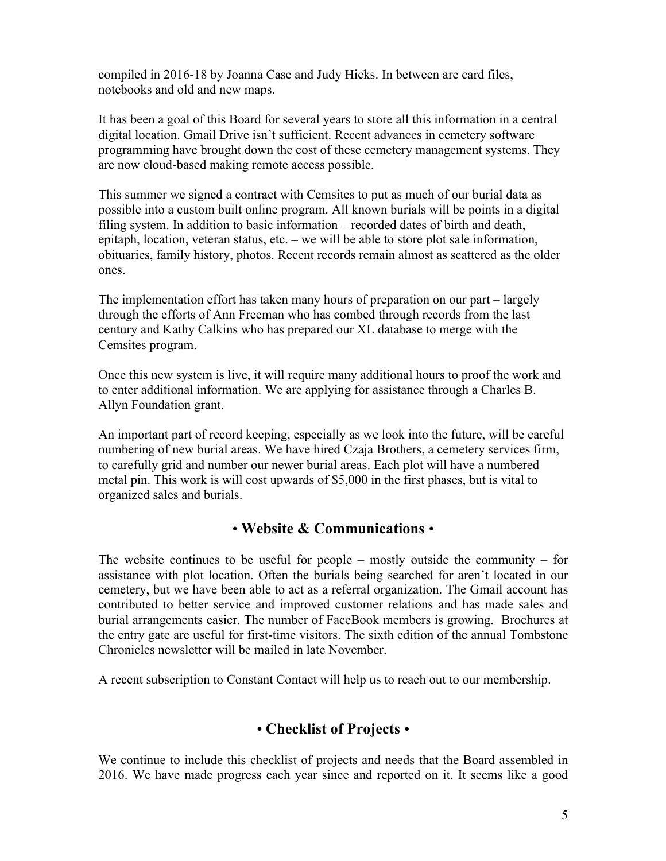compiled in 2016-18 by Joanna Case and Judy Hicks. In between are card files, notebooks and old and new maps.

It has been a goal of this Board for several years to store all this information in a central digital location. Gmail Drive isn't sufficient. Recent advances in cemetery software programming have brought down the cost of these cemetery management systems. They are now cloud-based making remote access possible.

This summer we signed a contract with Cemsites to put as much of our burial data as possible into a custom built online program. All known burials will be points in a digital filing system. In addition to basic information – recorded dates of birth and death, epitaph, location, veteran status, etc. – we will be able to store plot sale information, obituaries, family history, photos. Recent records remain almost as scattered as the older ones.

The implementation effort has taken many hours of preparation on our part – largely through the efforts of Ann Freeman who has combed through records from the last century and Kathy Calkins who has prepared our XL database to merge with the Cemsites program.

Once this new system is live, it will require many additional hours to proof the work and to enter additional information. We are applying for assistance through a Charles B. Allyn Foundation grant.

An important part of record keeping, especially as we look into the future, will be careful numbering of new burial areas. We have hired Czaja Brothers, a cemetery services firm, to carefully grid and number our newer burial areas. Each plot will have a numbered metal pin. This work is will cost upwards of \$5,000 in the first phases, but is vital to organized sales and burials.

#### ! **Website & Communications** !

The website continues to be useful for people – mostly outside the community – for assistance with plot location. Often the burials being searched for aren't located in our cemetery, but we have been able to act as a referral organization. The Gmail account has contributed to better service and improved customer relations and has made sales and burial arrangements easier. The number of FaceBook members is growing. Brochures at the entry gate are useful for first-time visitors. The sixth edition of the annual Tombstone Chronicles newsletter will be mailed in late November.

A recent subscription to Constant Contact will help us to reach out to our membership.

# ! **Checklist of Projects** !

We continue to include this checklist of projects and needs that the Board assembled in 2016. We have made progress each year since and reported on it. It seems like a good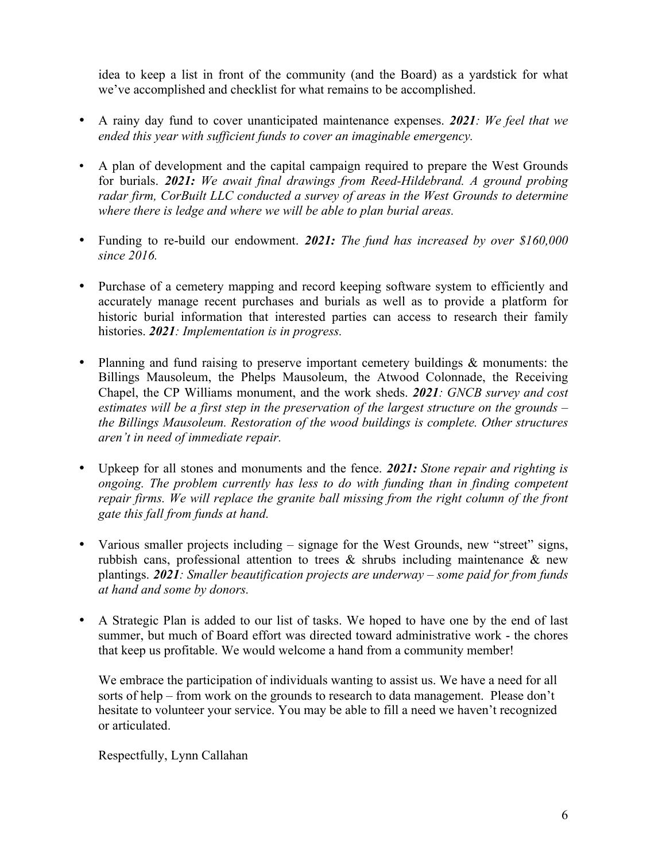idea to keep a list in front of the community (and the Board) as a yardstick for what we've accomplished and checklist for what remains to be accomplished.

- A rainy day fund to cover unanticipated maintenance expenses. *2021: We feel that we ended this year with sufficient funds to cover an imaginable emergency.*
- A plan of development and the capital campaign required to prepare the West Grounds for burials. *2021: We await final drawings from Reed-Hildebrand. A ground probing radar firm, CorBuilt LLC conducted a survey of areas in the West Grounds to determine where there is ledge and where we will be able to plan burial areas.*
- Funding to re-build our endowment. *2021: The fund has increased by over \$160,000 since 2016.*
- Purchase of a cemetery mapping and record keeping software system to efficiently and accurately manage recent purchases and burials as well as to provide a platform for historic burial information that interested parties can access to research their family histories. *2021: Implementation is in progress.*
- Planning and fund raising to preserve important cemetery buildings & monuments: the Billings Mausoleum, the Phelps Mausoleum, the Atwood Colonnade, the Receiving Chapel, the CP Williams monument, and the work sheds. *2021: GNCB survey and cost estimates will be a first step in the preservation of the largest structure on the grounds – the Billings Mausoleum. Restoration of the wood buildings is complete. Other structures aren't in need of immediate repair.*
- Upkeep for all stones and monuments and the fence. *2021: Stone repair and righting is ongoing. The problem currently has less to do with funding than in finding competent repair firms. We will replace the granite ball missing from the right column of the front gate this fall from funds at hand.*
- Various smaller projects including signage for the West Grounds, new "street" signs, rubbish cans, professional attention to trees  $\&$  shrubs including maintenance  $\&$  new plantings. *2021: Smaller beautification projects are underway – some paid for from funds at hand and some by donors.*
- A Strategic Plan is added to our list of tasks. We hoped to have one by the end of last summer, but much of Board effort was directed toward administrative work - the chores that keep us profitable. We would welcome a hand from a community member!

We embrace the participation of individuals wanting to assist us. We have a need for all sorts of help – from work on the grounds to research to data management. Please don't hesitate to volunteer your service. You may be able to fill a need we haven't recognized or articulated.

Respectfully, Lynn Callahan